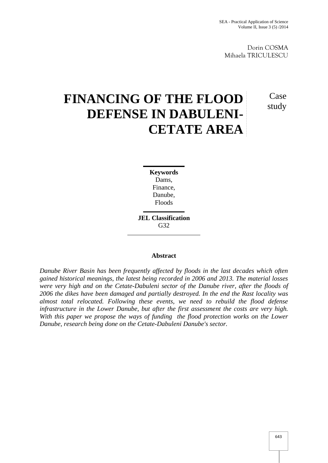Dorin COSMA Mihaela TRICULESCU

# **FINANCING OF THE FLOOD DEFENSE IN DABULENI- CETATE AREA**

study

Case

**Keywords** Dams, Finance, Danube, Floods

**JEL Classification** G32

# **Abstract**

*Danube River Basin has been frequently affected by floods in the last decades which often gained historical meanings, the latest being recorded in 2006 and 2013. The material losses were very high and on the Cetate-Dabuleni sector of the Danube river, after the floods of 2006 the dikes have been damaged and partially destroyed. In the end the Rast locality was almost total relocated. Following these events, we need to rebuild the flood defense infrastructure in the Lower Danube, but after the first assessment the costs are very high. With this paper we propose the ways of funding the flood protection works on the Lower Danube, research being done on the Cetate-Dabuleni Danube's sector.*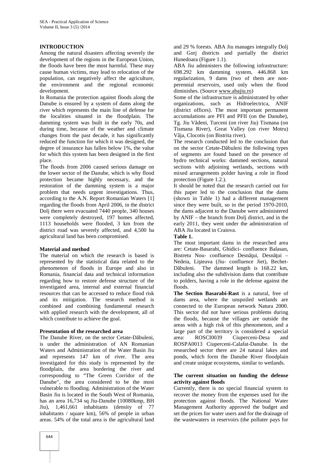# **INTRODUCTION**

Among the natural disasters affecting severely the development of the regions in the European Union, the floods have been the most harmful. These may cause human victims, may lead to relocation of the population, can negatively affect the agriculture, the environment and the regional economic development.

In Romania the protection against floods along the Danube is ensured by a system of dams along the river which represents the main line of defense for the localities situated in the floodplain. The damming system was built in the early 70s, and during time, because of the weather and climate changes from the past decade, it has significantly reduced the function for which it was designed, the degree of insurance has fallen below 1%, the value for which this system has been designed in the first place.

The floods from 2006 caused serious damage on the lower sector of the Danube, which is why flood protection became highly necessary, and the restoration of the damming system is a major problem that needs urgent investigations. Thus, according to the A.N. Report Romanian Waters [1] regarding the floods from April 2006, in the district Dolj there were evacuated 7440 people, 340 houses were completely destroyed, 197 homes affected, 1113 households were flooded, 3 km from the district road was severely affected, and 4,500 ha agricultural land has been compromised.

### **Material and method**

The material on which the research is based is represented by the statistical data related to the phenomenon of floods in Europe and also in Romania, financial data and technical information regarding how to restore defense structure of the investigated area, internal and external financial resources that can be accessed to reduce flood risk and its mitigation. The research method is combined and combining fundamental research with applied research with the development, all of which contribute to achieve the goal.

### **Presentation of the researched area**

The Danube River, on the sector Cetate-D buleni, is under the administration of AN Romanian Waters and Administration of the Water Basin Jiu and represents 147 km of river. The area investigated for this study is represented by the floodplain, the area bordering the river and corresponding to "The Green Corridor of the Danube", the area considered to be the most vulnerable to flooding. Administration of the Water Basin Jiu is located in the South West of Romania, has an area 16,734 sq Jiu-Danube (10080kmp, BH Jiu), 1,461,661 inhabitants (density of 77 inhabitants / square km), 56% of people in urban areas. 54% of the total area is the agricultural land

and 29 % forests. ABA Jiu manages integrally Dolj and Gorj districts and partially the district Hunedoara (Figure 1.1).

ABA Jiu administers the following infrastructure: 698.292 km damming system, 446.868 km regularization, 9 dams (two of them are non perennial reservoirs, used only when the flood diminishes. (Source www.abajiu.ro)

Some of the infrastructure is administrated by other organizations, such as Hidroelectrica, ANIF (district offices). The most important permanent accumulations are PFI and PFII (on the Danube), Tg. Jiu V deni, Turceni (on river Jiu) Tismana (on Tismana River), Great Valley (on river Motru) Vâja, Clocotis (on Bistrita river).

The research conducted led to the conclusion that on the sector Cetate-D buleni the following types of segments are found based on the presence of hydro technical works: dammed sections, natural sections with adjoining wetlands, sections with mixed arrangements polder having a role in flood protection (Figure 1.2.).

It should be noted that the research carried out for this paper led to the conclusion that the dams (shown in Table 1) had a different management since they were built, so in the period 1970-2010, the dams adjacent to the Danube were administered by ANIF – the branch from Dolj district, and in the early 2011, they went under the administration of ABA Jiu located in Craiova.

#### **Table 1.**

The most important dams in the researched area are: Cetate-Basarabi, Ghidici- confluence Balasan, Bistretu Nou- confluence Desn ui, Desn ui – Nedeia, Li teava (Jiu- confluence Jiet), Bechet-D buleni. The dammed length is 168.22 km, including also the subdivision dams that contribute to polders, having a role in the defense against the floods.

**The Section Basarabi-Rast** is a natural, free of dams area, where the unspoiled wetlands are connected to the European network Natura 2000. This sector did not have serious problems during the floods, because the villages are outside the areas with a high risk of this phenomenon, and a large part of the territory is considered a special area: ROSCI0039 Ciuperceni-Desa and ROSPA0013 Ciuperceni-Calafat-Danube. In the researched sector there are 24 natural lakes and ponds, which form the Danube River floodplain and create unique ecosystems, similar to wetlands.

#### **The current situation on funding the defense activity against floods**

Currently, there is no special financial system to recover the money from the expenses used for the protection against floods. The National Water Management Authority approved the budget and set the prices for water users and for the drainage of the wastewaters in reservoirs (the polluter pays for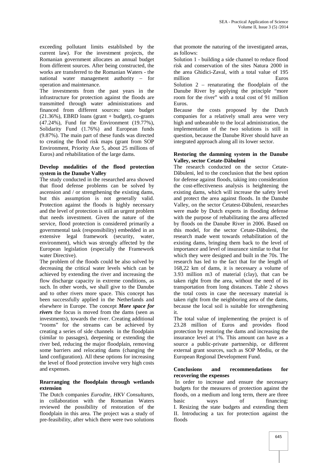exceeding pollutant limits established by the current law). For the investment projects, the Romanian government allocates an annual budget from different sources. After being constructed, the works are transferred to the Romanian Waters - the national water management authority – for operation and maintenance.

The investments from the past years in the infrastructure for protection against the floods are transmitted through water administrations and financed from different sources: state budget  $(21.36\%)$ , EBRD loans (grant + budget), co-grants (47.24%), Fund for the Environment (19.77%), Solidarity Fund (1.76%) and European funds (9.87%). The main part of these funds was directed to creating the flood risk maps (grant from SOP Environment, Priority Axe 5, about 25 millions of Euros) and rehabilitation of the large dams.

# **Develop modalities of the flood protection system in the Danube Valley**

The study conducted in the researched area showed that flood defense problems can be solved by ascension and / or strengthening the existing dams, but this assumption is not generally valid. Protection against the floods is highly necessary and the level of protection is still an urgent problem that needs investment. Given the nature of the service, flood protection is considered primarily a governmental task (responsibility) embedded in an extensive legal framework (security, water, environment), which was strongly affected by the European legislation (especially the Framework water Directive).

The problem of the floods could be also solved by decreasing the critical water levels which can be achieved by extending the river and increasing the flow discharge capacity in extreme conditions, as such. In other words, we shall give to the Danube and to other rivers more space. This concept has been successfully applied in the Netherlands and elsewhere in Europe. The concept *More space for rivers* the focus is moved from the dams (seen as investments), towards the river. Creating additional "rooms" for the streams can be achieved by creating a series of side channels in the floodplain (similar to passages), deepening or extending the river bed, reducing the major floodplain, removing some barriers and relocating dams (changing the land configuration). All these options for increasing the level of flood protection involve very high costs and expenses.

# **Rearranging the floodplain through wetlands extension**

The Dutch companies *Eurodite, HKV Consultants*, in collaboration with the Romanian Waters reviewed the possibility of restoration of the floodplain in this area. The project was a study of pre-feasibility, after which there were two solutions

that promote the naturing of the investigated areas, as follows:

Solution 1 - building a side channel to reduce flood risk and conservation of the sites Natura 2000 in the area Ghidici-Zaval, with a total value of 195 million Euros Solution 2 – renaturating the floodplain of the Danube River by applying the principle "more room for the river" with a total cost of 91 million

Euros. Because the costs proposed by the Dutch companies for a relatively small area were very high and unbearable to the local administration, the implementation of the two solutions is still in question, because the Danube River should have an integrated approach along all its lower sector.

#### **Restoring the damming system in the Danube Valley, sector Cetate-Dăbuleni**

The research conducted on the sector Cetate- D buleni, led to the conclusion that the best option for defense against floods, taking into consideration the cost-effectiveness analysis is heightening the existing dams, which will increase the safety level and protect the area against floods. In the Danube Valley, on the sector Cetatest-D buleni, researches were made by Dutch experts in flooding defense with the purpose of rehabilitating the area affected by floods on the Danube River in 2006. Based on this model, for the sector Cetate-D buleni, the research made went towards rehabilitation of the existing dams, bringing them back to the level of importance and level of insurance similar to that for which they were designed and built in the 70s. The research has led to the fact that for the length of 168,22 km of dams, it is necessary a volume of 3.93 million m3 of material (clay), that can be taken right from the area, without the need of its transportation from long distances. Table 2 shows the total costs in case the necessary material is taken right from the neighboring area of the dams, because the local soil is suitable for strengthening it.

The total value of implementing the project is of 23.28 million of Euros and provides flood protection by restoring the dams and increasing the insurance level at 1%. This amount can have as a source a public-private partnership, or different external grant sources, such as SOP Mediu, or the European Regional Development Fund.

### **Conclusions and recommendations for recovering the expenses**

In order to increase and ensure the necessary budgets for the measures of protection against the floods, on a medium and long term, there are three basic ways of financing: I. Resizing the state budgets and extending them II. Introducing a tax for protection against the floods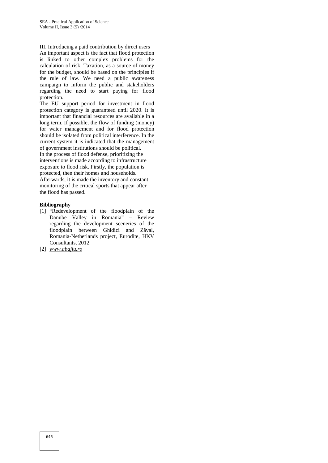III. Introducing a paid contribution by direct users

An important aspect is the fact that flood protection is linked to other complex problems for the calculation of risk. Taxation, as a source of money for the budget, should be based on the principles if the rule of law. We need a public awareness campaign to inform the public and stakeholders regarding the need to start paying for flood protection.

The EU support period for investment in flood protection category is guaranteed until 2020. It is important that financial resources are available in a long term. If possible, the flow of funding (money) for water management and for flood protection should be isolated from political interference. In the current system it is indicated that the management of government institutions should be political. In the process of flood defense, prioritizing the interventions is made according to infrastructure exposure to flood risk. Firstly, the population is protected, then their homes and households. Afterwards, it is made the inventory and constant monitoring of the critical sports that appear after the flood has passed.

#### **Bibliography**

- [1] "Redevelopment of the floodplain of the Danube Valley in Romania" – Review regarding the development sceneries of the floodplain between Ghidici and Z val, Romania-Netherlands project, Eurodite, HKV Consultants, 2012
- [2] *www.abajiu.ro*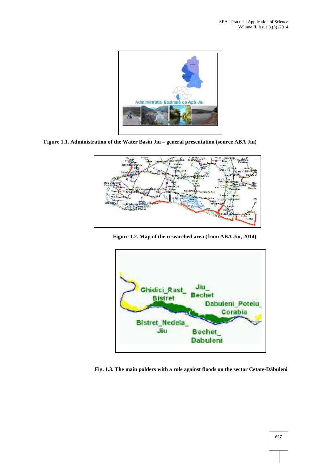

**Figure 1.1. Administration of the Water Basin Jiu – general presentation (source ABA Jiu)**



**Figure 1.2. Map of the researched area (from ABA Jiu, 2014)**



**Fig. 1.3. The main polders with a role against floods on the sector Cetate-Dăbuleni**